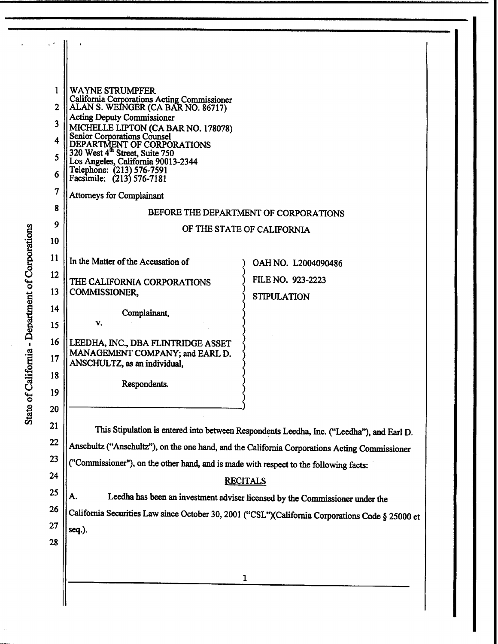| $\mathbf{v}$ |                                                                                                  |                                                                                                  |  |
|--------------|--------------------------------------------------------------------------------------------------|--------------------------------------------------------------------------------------------------|--|
|              |                                                                                                  |                                                                                                  |  |
|              |                                                                                                  |                                                                                                  |  |
| 1            | <b>WAYNE STRUMPFER</b>                                                                           |                                                                                                  |  |
| $\mathbf{2}$ | California Corporations Acting Commissioner<br>ALAN S. WEINGER (CA BAR NO. 86717)                |                                                                                                  |  |
| 3            | <b>Acting Deputy Commissioner</b>                                                                |                                                                                                  |  |
| 4            | MICHELLE LIPTON (CA BAR NO. 178078)<br>Senior Corporations Counsel<br>DEPARTMENT OF CORPORATIONS |                                                                                                  |  |
| 5            | 320 West 4 <sup>th</sup> Street, Suite 750                                                       |                                                                                                  |  |
|              | Los Angeles, California 90013-2344<br>Telephone: (213) 576-7591                                  |                                                                                                  |  |
| 6            | Facsimile: (213) 576-7181                                                                        |                                                                                                  |  |
| 7            | <b>Attorneys for Complainant</b>                                                                 |                                                                                                  |  |
| 8            | BEFORE THE DEPARTMENT OF CORPORATIONS                                                            |                                                                                                  |  |
| 9            | OF THE STATE OF CALIFORNIA                                                                       |                                                                                                  |  |
| 10           |                                                                                                  |                                                                                                  |  |
| 11           | In the Matter of the Accusation of                                                               |                                                                                                  |  |
| 12           |                                                                                                  | OAH NO. L2004090486                                                                              |  |
| 13           | THE CALIFORNIA CORPORATIONS<br>COMMISSIONER,                                                     | FILE NO. 923-2223                                                                                |  |
|              |                                                                                                  | <b>STIPULATION</b>                                                                               |  |
| 14           | Complainant,                                                                                     |                                                                                                  |  |
| 15           | v.                                                                                               |                                                                                                  |  |
| 16           | LEEDHA, INC., DBA FLINTRIDGE ASSET                                                               |                                                                                                  |  |
| 17           | MANAGEMENT COMPANY; and EARL D.<br>ANSCHULTZ, as an individual,                                  |                                                                                                  |  |
| 18           |                                                                                                  |                                                                                                  |  |
| 19           | Respondents.                                                                                     |                                                                                                  |  |
| 20           |                                                                                                  |                                                                                                  |  |
| 21           |                                                                                                  |                                                                                                  |  |
| 22           | This Stipulation is entered into between Respondents Leedha, Inc. ("Leedha"), and Earl D.        |                                                                                                  |  |
|              | Anschultz ("Anschultz"), on the one hand, and the California Corporations Acting Commissioner    |                                                                                                  |  |
| 23           | ("Commissioner"), on the other hand, and is made with respect to the following facts:            |                                                                                                  |  |
| 24           | <b>RECITALS</b>                                                                                  |                                                                                                  |  |
| 25           | A.<br>Leedha has been an investment adviser licensed by the Commissioner under the               |                                                                                                  |  |
| 26           |                                                                                                  | California Securities Law since October 30, 2001 ("CSL")(California Corporations Code § 25000 et |  |
| 27           | seq.).                                                                                           |                                                                                                  |  |
| 28           |                                                                                                  |                                                                                                  |  |
|              |                                                                                                  |                                                                                                  |  |
|              |                                                                                                  | 1                                                                                                |  |
|              |                                                                                                  |                                                                                                  |  |
|              |                                                                                                  |                                                                                                  |  |

§ nati<br>1 Corpora<sup></sup> epartment of  $\overline{\phantom{a}}$ omia - D Califor a:s *C)*   $\mathbf{G}$ State

 $\ddot{\phantom{0}}$ 

 $\overline{a}$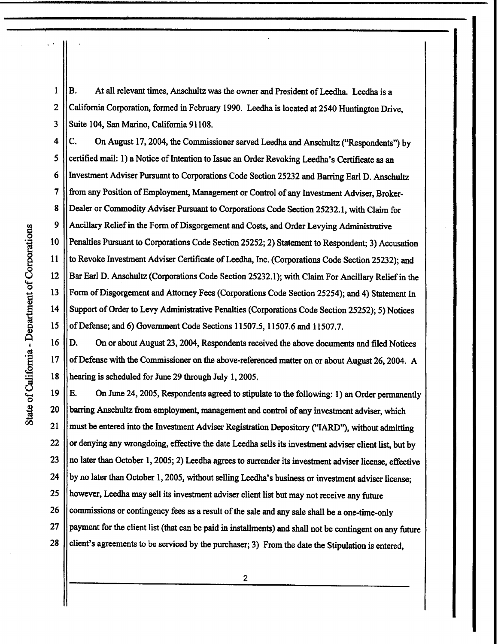1 2 3 B. At all relevant times, Anschultz was the owner and President of Leedha. Leedha is a California Corporation, formed in February 1990. Leedha is located at 2540 Huntington Drive, Suite 104, San Marino, California 91108.

4 *5*  6 7 8 9 10 11 12 13 14 15 C. On August 17, 2004, the Commissioner served Leedha and Anschultz ("Respondents") by certified mail: 1) a Notice of Intention to Issue an Order Revoking Leedha's Certificate as an Investment Adviser Pursuant to Corporations Code Section 25232 and Barring Earl D. Anschultz from any Position of Employment, Management or Control of any Investment Adviser, Broker-Dealer or Commodity Adviser Pursuant to Corporations Code Section 25232.1, with Claim for Ancillary Relief in the Form of Disgorgement and Costs, and Order Levying Administrative Penalties Pursuant to Corporations Code Section 25252; 2) Statement to Respondent; 3) Accusation to Revoke Investment Adviser Certificate of Leedha, Inc. (Corporations Code Section 25232); and Bar Earl D. Anschultz (Corporations Code Section 25232.1); with Claim For Ancillary Relief in the Form of Disgorgement and Attorney Fees (Corporations Code Section 25254); and 4) Statement In Support of Order to Levy Administrative Penalties (Corporations Code Section 25252); 5) Notices of Defense; and 6) Government Code Sections 11507.5, 11507.6 and 11507.7.

D. On or about August 23, 2004, Respondents received the above documents and filed Notices of Defense with the Commissioner on the above-referenced matter on or about August 26, 2004. A hearing is scheduled for June 29 through July 1, 2005.

19 20 21 22 23 24 25 26 27 28 E. On June 24, 2005, Respondents agreed to stipulate to the following: 1) an Order permanently barring Anschultz from employment, management and control of any investment adviser, which must be entered into the Investment Adviser Registration Depository ("IARD"), without admitting or denying any wrongdoing, effective the date Leedha sells its investment adviser client list, but by no later than October 1, 2005; 2) Leedha agrees to surrender its investment adviser license, effective by no later than October 1, 2005, without selling Leedha's business or investment adviser license; however, Leedha may sell its investment adviser client list but may not receive any future commissions or contingency fees as a result of the sale and any sale shall be a one-time-only payment for the client list (that can be paid in installments) and shall not be contingent on any future client's agreements to be serviced by the purchaser; 3) From the date the Stipulation is entered,

16

17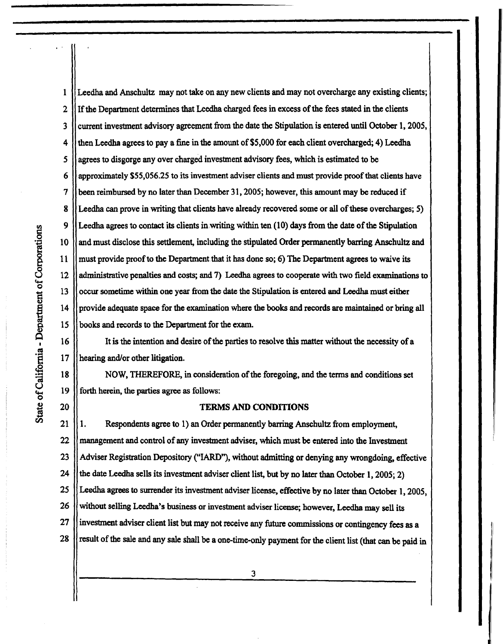4 *5*  6 7 8 9 10 11 12 13 14 15 16 17 18 19 **fl.I**  tions rporati<br>... of Co partm  $n$  ento ទី<br>ទ Q I ·e **(IS**   $\ddot{H}$ of Cal

20

state **r.ll**  1

2

3

Leedha and Anschultz may not take on any new clients and may not overcharge any existing clients; Ifthe Department determines that Leedha charged fees in excess of the fees stated in the clients current investment advisory agreement from the date the Stipulation is entered until October l, 2005, then Leedha agrees to pay a fine in the amount of \$5,000 for each client overcharged; 4) Leedha agrees to disgorge any over charged investment advisory fees, which is estimated to be approximately \$55,056.25 to its investment adviser clients and must provide proof that clients have been reimbursed by no later than December 31, 2005; however, this amount may be reduced if Leedha can prove in writing that clients have already recovered some or all of these overcharges; 5) Leedha agrees to contact its clients in writing within ten (10) days from the date of the Stipulation and must disclose this settlement, including the stipulated Order permanently barring Anschultz and must provide proof to the Department that it has done so; 6) The Department agrees to waive its administrative penalties and costs; and 7) Leedha agrees to cooperate with two field examinations to occur sometime within one year from the date the Stipulation is entered and Leedha must either provide adequate space for the examination where the books and records are maintained or bring all books and records to the Department for the exam.

It is the intention and desire of the parties to resolve this matter without the necessity of a hearing and/or other litigation.

NOW, THEREFORE, in consideration of the foregoing, and the terms and conditions set forth herein, the parties agree as follows:

## **TERMS AND CONDITIONS**

21 22 23 24 25 26 27 28 1. Respondents agree to 1) an Order permanently barring Anschultz from employment, management and control of any investment adviser, which must be entered into the Investment Adviser Registration Depository ("IARD''), without admitting or denying any wrongdoing, effective the date Leedha sells its investment adviser client list, but by no later than October 1, 2005; 2) Leedha agrees to surrender its investment adviser license, effective by no later than October 1, 2005, without selling Leedha's business or investment adviser license; however, Leedha may sell its investment adviser client list but may not receive any future commissions or contingency fees as a result of the sale and any sale shall be a one-time-only payment for the client list (that can be paid in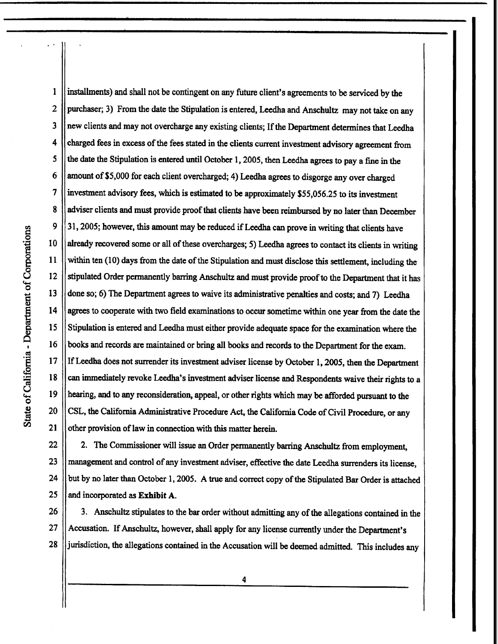3 4 *5*  6 7 8 9 10 11 12 13 14 15 16 17 18 19 20 tions odic<br>C of Co partme l:**Gl Dep**  $\mathbf{r}$ <u>مئا</u> State of Cal

21

1

2

installments) and shall not be contingent on any future client's agreements to be serviced by the purchaser; 3) From the date the Stipulation is entered, Leedha and Anschultz may not take on any new clients and may not overcharge any existing clients; If the Department determines that Leedha charged fees in excess of the fees stated in the clients current investment advisory agreement from the date the Stipulation is entered until October 1, 2005, then Leedha agrees to pay a fine in the amount of\$5,000 for each client overcharged; 4) Leedha agrees to disgorge any over charged investment advisory fees, which is estimated to be approximately \$55,056.25 to its investment adviser clients and must provide proof that clients have been reimbursed by no later than December 31, 2005; however, this amount may be reduced if Leedha can prove in writing that clients have already recovered some or all of these overcharges; 5) Leedha agrees to contact its clients in writing within ten (10) days from the date of the Stipulation and must disclose this settlement, including the stipulated Order permanently barring Anschultz and must provide proof to the Department that it has done so; 6) The Department agrees to waive its administrative penalties and costs; and 7) Leedha agrees to cooperate with two field examinations to occur sometime within one year from the date the Stipulation is entered and Leedha must either provide adequate space for the examination where the books and records are maintained or bring all books and records to the Department for the exam. If Leedha does not surrender its investment adviser license by October 1, 2005, then the Department can immediately revoke Leedha's investment adviser license and Respondents waive their rights to a hearing, and to any reconsideration, appeal, or other rights which may be afforded pursuant to the CSL, the California Administrative Procedure Act, the California Code of Civil Procedure, or any other provision of law in connection with this matter herein.

22 23 24 25 2. The Commissioner will issue an Order permanently barring Anschultz from employment, management and control of any investment adviser, effective the date Leedha surrenders its license, but by no later than October 1, 2005. A true and correct copy of the Stipulated Bar Order is attached and incorporated as **Exhibit A.** 

26 27 28 3. Anschultz stipulates to the bar order without admitting any of the allegations contained in the Accusation. If Anschultz, however, shall apply for any license currently under the Department's jurisdiction, the allegations contained in the Accusation will be deemed admitted. This includes any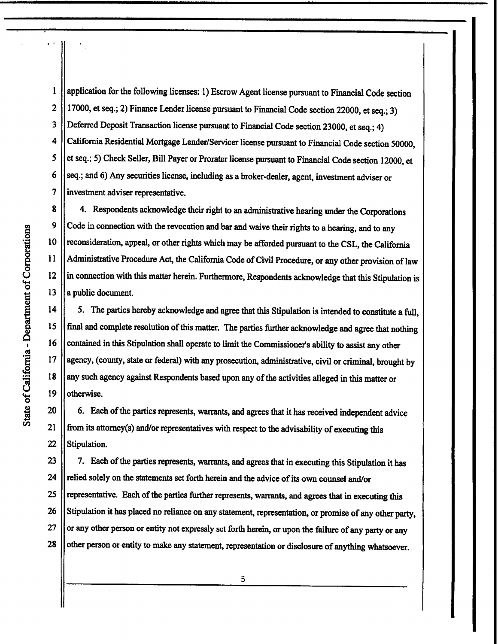*5*  I 2 3 4 6 7 application for the following licenses: 1) Escrow Agent license pursuant to Financial Code section 17000, et seq.; 2) Finance Lender license pursuant to Financial Code section 22000, et seq.; 3) Deferred Deposit Transaction license pursuant to Financial Code section 23000, et seq.; 4) California Residential Mortgage Lender/Servicer license pursuant to Financial Code section 50000, et seq.; 5) Check Seller, Bill Payer or Prorater license pursuant to Financial Code section 12000, et seq.; and 6) Any securities license, including as a broker-dealer, agent, investment adviser or investment adviser representative.

10 8 9 11 12 13 4. Respondents acknowledge their right to an administrative hearing under the Corporations Code in connection with the revocation and bar and waive their rights to a hearing, and to any reconsideration, appeal, or other rights which may be afforded pursuant to the CSL, the California Administrative Procedure Act, the California Code of Civil Procedure, or any other provision of law in connection with this matter herein. Furthermore, Respondents acknowledge that this Stipulation is a public document.

*5.* The parties hereby acknowledge and agree that this Stipulation is intended to constitute a full, final and complete resolution of this matter. The parties further acknowledge and agree that nothing contained in this Stipulation shall operate to limit the Commissioner's ability to assist any other agency, (county, state or federal) with any prosecution, administrative, civil or criminal, brought by any such agency against Respondents based upon any of the activities alleged in this matter or otherwise.

20 6. Each of the parties represents, warrants, and agrees that it has received independent advice from its attorney(s) and/or representatives with respect to the advisability of executing this Stipulation.

25 23 24 26 27 **28**  7. Each of the parties represents, warrants, and agrees that in executing this Stipulation it has relied solely on the statements set forth herein and the advice of its own counsel and/or representative. Each of the parties further represents, warrants, and agrees that in executing this Stipulation it has placed no reliance on any statement, representation, or promise of any other party, or any other person or entity not expressly set forth herein, or upon the failure of any party or any other person or entity to make any statement, representation or disclosure of anything whatsoever.

15

16

17

**18** 

19

21

22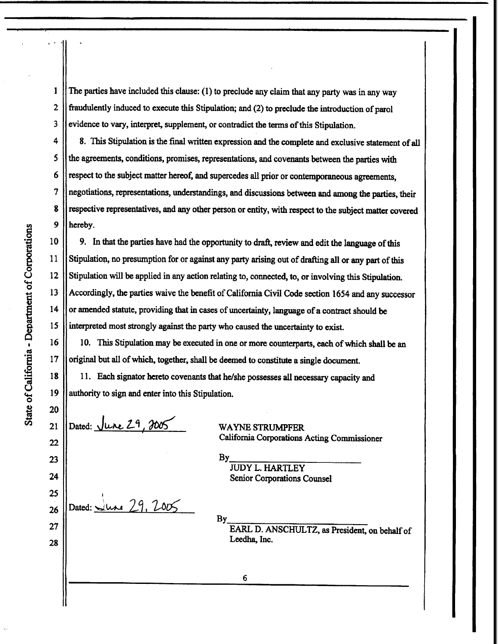I 2 3 The parties have included this clause: (1) to preclude any claim that any party was in any way fraudulently induced to execute this Stipulation; and (2) to preclude the introduction of parol evidence to vary, interpret, supplement, or contradict the terms of this Stipulation.

*5*  4 6 7 **8**  8. This Stipulation is the final written expression and the complete and exclusive statement of all the agreements, conditions, promises, representations, and covenants between the parties with respect to the subject matter hereof, and supercedes all prior or contemporaneous agreements, negotiations, representations, understandings, and discussions between and among the parties, their respective representatives, and any other person or entity, with respect to the subject matter covered hereby.

9. In that the parties have had the opportunity to draft, review and edit the language of this Stipulation, no presumption for or against any party arising out of drafting all or any part of this Stipulation will be applied in any action relating to, connected, to, or involving this Stipulation. Accordingly, the parties waive the benefit of California Civil Code section 1654 and any successor or amended statute, providing that in cases of uncertainty, language ofa contract should be interpreted most strongly against the party who caused the uncertainty to exist.

10. This Stipulation may be executed in one or more counterparts, each of which shall be an original but all of which, together, shall be deemed to constitute a single document.

11. Each signator hereto covenants that he/she possesses all necessary capacity and authority to sign and enter into this Stipulation.

Dated: <u>June 29, 2005</u>

Dated:  $\sqrt{u}$  29. 2005

20 25  $\frac{12}{3}$   $\frac{18}{2}$   $\frac{19}{21}$   $\frac{20}{21}$ **rl.l** 21 22 23 24 26

27

**28** 

10

<sup>~</sup>11

15

I 16

17

14

WAYNE STRUMPFER California Corporations Acting Commissioner

 $By$ JUDY L. HARTLEY Senior Corporations Counsel

 $By$ 

6

EARL D. ANSCHULTZ, as President, on behalf of Leedha, Inc.

 $\begin{array}{c} 26 & 9 \\ 10 & 10 \end{array}$  $\begin{bmatrix} 0 & 12 \\ 4 & 13 \end{bmatrix}$ partme t: *Q)*  epa<br>B  $\bar{\mathsf{Q}}$ ·e **«I**